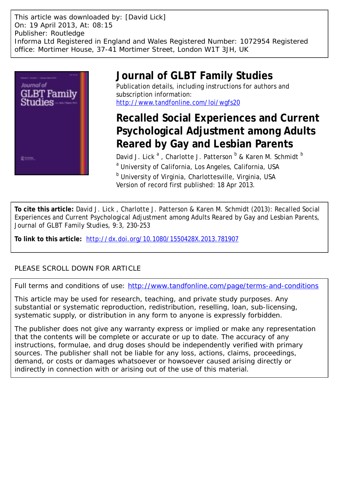This article was downloaded by: [David Lick] On: 19 April 2013, At: 08:15 Publisher: Routledge Informa Ltd Registered in England and Wales Registered Number: 1072954 Registered office: Mortimer House, 37-41 Mortimer Street, London W1T 3JH, UK



# **Journal of GLBT Family Studies**

Publication details, including instructions for authors and subscription information: <http://www.tandfonline.com/loi/wgfs20>

# **Recalled Social Experiences and Current Psychological Adjustment among Adults Reared by Gay and Lesbian Parents**

David J. Lick <sup>a</sup>, Charlotte J. Patterson <sup>b</sup> & Karen M. Schmidt <sup>b</sup>

<sup>a</sup> University of California, Los Angeles, California, USA

<sup>b</sup> University of Virginia, Charlottesville, Virginia, USA Version of record first published: 18 Apr 2013.

**To cite this article:** David J. Lick , Charlotte J. Patterson & Karen M. Schmidt (2013): Recalled Social Experiences and Current Psychological Adjustment among Adults Reared by Gay and Lesbian Parents, Journal of GLBT Family Studies, 9:3, 230-253

**To link to this article:** <http://dx.doi.org/10.1080/1550428X.2013.781907>

## PLEASE SCROLL DOWN FOR ARTICLE

Full terms and conditions of use:<http://www.tandfonline.com/page/terms-and-conditions>

This article may be used for research, teaching, and private study purposes. Any substantial or systematic reproduction, redistribution, reselling, loan, sub-licensing, systematic supply, or distribution in any form to anyone is expressly forbidden.

The publisher does not give any warranty express or implied or make any representation that the contents will be complete or accurate or up to date. The accuracy of any instructions, formulae, and drug doses should be independently verified with primary sources. The publisher shall not be liable for any loss, actions, claims, proceedings, demand, or costs or damages whatsoever or howsoever caused arising directly or indirectly in connection with or arising out of the use of this material.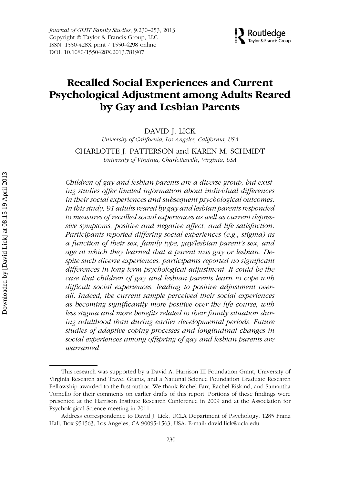*Journal of GLBT Family Studies*, 9:230–253, 2013 Copyright © Taylor & Francis Group, LLC ISSN: 1550-428X print / 1550-4298 online DOI: 10.1080/1550428X.2013.781907

## **Recalled Social Experiences and Current Psychological Adjustment among Adults Reared by Gay and Lesbian Parents**

DAVID J. LICK

*University of California, Los Angeles, California, USA*

CHARLOTTE J. PATTERSON and KAREN M. SCHMIDT *University of Virginia, Charlottesville, Virginia, USA*

*Children of gay and lesbian parents are a diverse group, but existing studies offer limited information about individual differences in their social experiences and subsequent psychological outcomes. In this study, 91 adults reared by gay and lesbian parents responded to measures of recalled social experiences as well as current depressive symptoms, positive and negative affect, and life satisfaction. Participants reported differing social experiences (e.g., stigma) as a function of their sex, family type, gay/lesbian parent's sex, and age at which they learned that a parent was gay or lesbian. Despite such diverse experiences, participants reported no significant differences in long-term psychological adjustment. It could be the case that children of gay and lesbian parents learn to cope with difficult social experiences, leading to positive adjustment overall. Indeed, the current sample perceived their social experiences as becoming significantly more positive over the life course, with less stigma and more benefits related to their family situation during adulthood than during earlier developmental periods. Future studies of adaptive coping processes and longitudinal changes in social experiences among offspring of gay and lesbian parents are warranted.*



This research was supported by a David A. Harrison III Foundation Grant, University of Virginia Research and Travel Grants, and a National Science Foundation Graduate Research Fellowship awarded to the first author. We thank Rachel Farr, Rachel Riskind, and Samantha Tornello for their comments on earlier drafts of this report. Portions of these findings were presented at the Harrison Institute Research Conference in 2009 and at the Association for Psychological Science meeting in 2011.

Address correspondence to David J. Lick, UCLA Department of Psychology, 1285 Franz Hall, Box 951563, Los Angeles, CA 90095-1563, USA. E-mail: david.lick@ucla.edu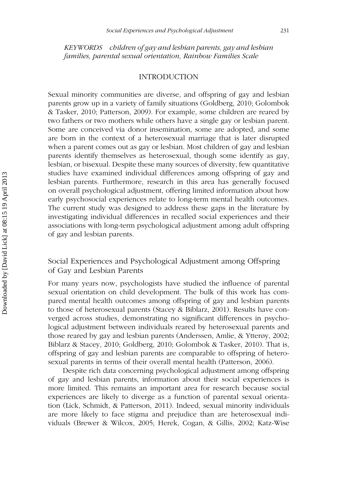*KEYWORDS children of gay and lesbian parents, gay and lesbian families, parental sexual orientation, Rainbow Families Scale*

#### INTRODUCTION

Sexual minority communities are diverse, and offspring of gay and lesbian parents grow up in a variety of family situations (Goldberg, 2010; Golombok & Tasker, 2010; Patterson, 2009). For example, some children are reared by two fathers or two mothers while others have a single gay or lesbian parent. Some are conceived via donor insemination, some are adopted, and some are born in the context of a heterosexual marriage that is later disrupted when a parent comes out as gay or lesbian. Most children of gay and lesbian parents identify themselves as heterosexual, though some identify as gay, lesbian, or bisexual. Despite these many sources of diversity, few quantitative studies have examined individual differences among offspring of gay and lesbian parents. Furthermore, research in this area has generally focused on overall psychological adjustment, offering limited information about how early psychosocial experiences relate to long-term mental health outcomes. The current study was designed to address these gaps in the literature by investigating individual differences in recalled social experiences and their associations with long-term psychological adjustment among adult offspring of gay and lesbian parents.

## Social Experiences and Psychological Adjustment among Offspring of Gay and Lesbian Parents

For many years now, psychologists have studied the influence of parental sexual orientation on child development. The bulk of this work has compared mental health outcomes among offspring of gay and lesbian parents to those of heterosexual parents (Stacey & Biblarz, 2001). Results have converged across studies, demonstrating no significant differences in psychological adjustment between individuals reared by heterosexual parents and those reared by gay and lesbian parents (Anderssen, Amlie, & Ytterøy, 2002; Biblarz & Stacey, 2010; Goldberg, 2010; Golombok & Tasker, 2010). That is, offspring of gay and lesbian parents are comparable to offspring of heterosexual parents in terms of their overall mental health (Patterson, 2006).

Despite rich data concerning psychological adjustment among offspring of gay and lesbian parents, information about their social experiences is more limited. This remains an important area for research because social experiences are likely to diverge as a function of parental sexual orientation (Lick, Schmidt, & Patterson, 2011). Indeed, sexual minority individuals are more likely to face stigma and prejudice than are heterosexual individuals (Brewer & Wilcox, 2005; Herek, Cogan, & Gillis, 2002; Katz-Wise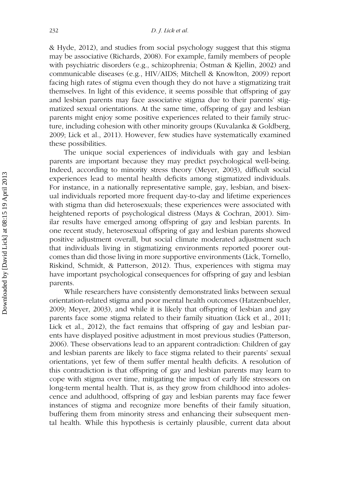& Hyde, 2012), and studies from social psychology suggest that this stigma may be associative (Richards, 2008). For example, family members of people with psychiatric disorders (e.g., schizophrenia; Östman & Kjellin, 2002) and communicable diseases (e.g., HIV/AIDS; Mitchell & Knowlton, 2009) report facing high rates of stigma even though they do not have a stigmatizing trait themselves. In light of this evidence, it seems possible that offspring of gay and lesbian parents may face associative stigma due to their parents' stigmatized sexual orientations. At the same time, offspring of gay and lesbian parents might enjoy some positive experiences related to their family structure, including cohesion with other minority groups (Kuvalanka & Goldberg, 2009; Lick et al., 2011). However, few studies have systematically examined these possibilities.

The unique social experiences of individuals with gay and lesbian parents are important because they may predict psychological well-being. Indeed, according to minority stress theory (Meyer, 2003), difficult social experiences lead to mental health deficits among stigmatized individuals. For instance, in a nationally representative sample, gay, lesbian, and bisexual individuals reported more frequent day-to-day and lifetime experiences with stigma than did heterosexuals; these experiences were associated with heightened reports of psychological distress (Mays & Cochran, 2001). Similar results have emerged among offspring of gay and lesbian parents. In one recent study, heterosexual offspring of gay and lesbian parents showed positive adjustment overall, but social climate moderated adjustment such that individuals living in stigmatizing environments reported poorer outcomes than did those living in more supportive environments (Lick, Tornello, Riskind, Schmidt, & Patterson, 2012). Thus, experiences with stigma may have important psychological consequences for offspring of gay and lesbian parents.

While researchers have consistently demonstrated links between sexual orientation-related stigma and poor mental health outcomes (Hatzenbuehler, 2009; Meyer, 2003), and while it is likely that offspring of lesbian and gay parents face some stigma related to their family situation (Lick et al., 2011; Lick et al., 2012), the fact remains that offspring of gay and lesbian parents have displayed positive adjustment in most previous studies (Patterson, 2006). These observations lead to an apparent contradiction: Children of gay and lesbian parents are likely to face stigma related to their parents' sexual orientations, yet few of them suffer mental health deficits. A resolution of this contradiction is that offspring of gay and lesbian parents may learn to cope with stigma over time, mitigating the impact of early life stressors on long-term mental health. That is, as they grow from childhood into adolescence and adulthood, offspring of gay and lesbian parents may face fewer instances of stigma and recognize more benefits of their family situation, buffering them from minority stress and enhancing their subsequent mental health. While this hypothesis is certainly plausible, current data about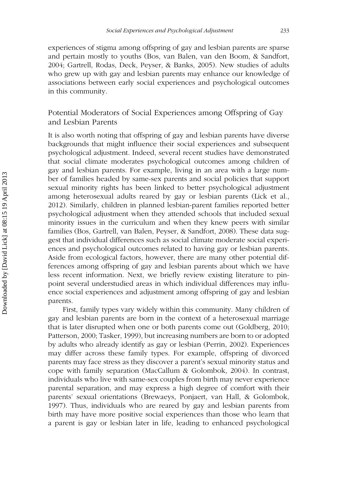experiences of stigma among offspring of gay and lesbian parents are sparse and pertain mostly to youths (Bos, van Balen, van den Boom, & Sandfort, 2004; Gartrell, Rodas, Deck, Peyser, & Banks, 2005). New studies of adults who grew up with gay and lesbian parents may enhance our knowledge of associations between early social experiences and psychological outcomes in this community.

## Potential Moderators of Social Experiences among Offspring of Gay and Lesbian Parents

It is also worth noting that offspring of gay and lesbian parents have diverse backgrounds that might influence their social experiences and subsequent psychological adjustment. Indeed, several recent studies have demonstrated that social climate moderates psychological outcomes among children of gay and lesbian parents. For example, living in an area with a large number of families headed by same-sex parents and social policies that support sexual minority rights has been linked to better psychological adjustment among heterosexual adults reared by gay or lesbian parents (Lick et al., 2012). Similarly, children in planned lesbian-parent families reported better psychological adjustment when they attended schools that included sexual minority issues in the curriculum and when they knew peers with similar families (Bos, Gartrell, van Balen, Peyser, & Sandfort, 2008). These data suggest that individual differences such as social climate moderate social experiences and psychological outcomes related to having gay or lesbian parents. Aside from ecological factors, however, there are many other potential differences among offspring of gay and lesbian parents about which we have less recent information. Next, we briefly review existing literature to pinpoint several understudied areas in which individual differences may influence social experiences and adjustment among offspring of gay and lesbian parents.

First, family types vary widely within this community. Many children of gay and lesbian parents are born in the context of a heterosexual marriage that is later disrupted when one or both parents come out (Goldberg, 2010; Patterson, 2000; Tasker, 1999), but increasing numbers are born to or adopted by adults who already identify as gay or lesbian (Perrin, 2002). Experiences may differ across these family types. For example, offspring of divorced parents may face stress as they discover a parent's sexual minority status and cope with family separation (MacCallum & Golombok, 2004). In contrast, individuals who live with same-sex couples from birth may never experience parental separation, and may express a high degree of comfort with their parents' sexual orientations (Brewaeys, Ponjaert, van Hall, & Golombok, 1997). Thus, individuals who are reared by gay and lesbian parents from birth may have more positive social experiences than those who learn that a parent is gay or lesbian later in life, leading to enhanced psychological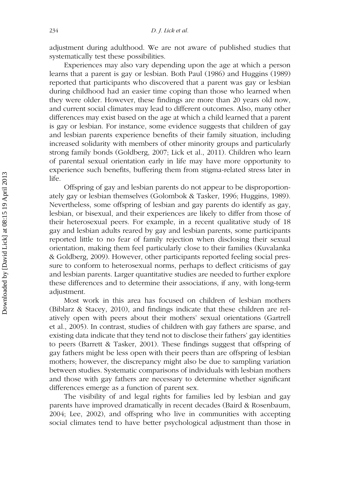adjustment during adulthood. We are not aware of published studies that systematically test these possibilities.

Experiences may also vary depending upon the age at which a person learns that a parent is gay or lesbian. Both Paul (1986) and Huggins (1989) reported that participants who discovered that a parent was gay or lesbian during childhood had an easier time coping than those who learned when they were older. However, these findings are more than 20 years old now, and current social climates may lead to different outcomes. Also, many other differences may exist based on the age at which a child learned that a parent is gay or lesbian. For instance, some evidence suggests that children of gay and lesbian parents experience benefits of their family situation, including increased solidarity with members of other minority groups and particularly strong family bonds (Goldberg, 2007; Lick et al., 2011). Children who learn of parental sexual orientation early in life may have more opportunity to experience such benefits, buffering them from stigma-related stress later in life.

Offspring of gay and lesbian parents do not appear to be disproportionately gay or lesbian themselves (Golombok & Tasker, 1996; Huggins, 1989). Nevertheless, some offspring of lesbian and gay parents do identify as gay, lesbian, or bisexual, and their experiences are likely to differ from those of their heterosexual peers. For example, in a recent qualitative study of 18 gay and lesbian adults reared by gay and lesbian parents, some participants reported little to no fear of family rejection when disclosing their sexual orientation, making them feel particularly close to their families (Kuvalanka & Goldberg, 2009). However, other participants reported feeling social pressure to conform to heterosexual norms, perhaps to deflect criticisms of gay and lesbian parents. Larger quantitative studies are needed to further explore these differences and to determine their associations, if any, with long-term adjustment.

Most work in this area has focused on children of lesbian mothers (Biblarz & Stacey, 2010), and findings indicate that these children are relatively open with peers about their mothers' sexual orientations (Gartrell et al., 2005). In contrast, studies of children with gay fathers are sparse, and existing data indicate that they tend not to disclose their fathers' gay identities to peers (Barrett & Tasker, 2001). These findings suggest that offspring of gay fathers might be less open with their peers than are offspring of lesbian mothers; however, the discrepancy might also be due to sampling variation between studies. Systematic comparisons of individuals with lesbian mothers and those with gay fathers are necessary to determine whether significant differences emerge as a function of parent sex.

The visibility of and legal rights for families led by lesbian and gay parents have improved dramatically in recent decades (Baird & Rosenbaum, 2004; Lee, 2002), and offspring who live in communities with accepting social climates tend to have better psychological adjustment than those in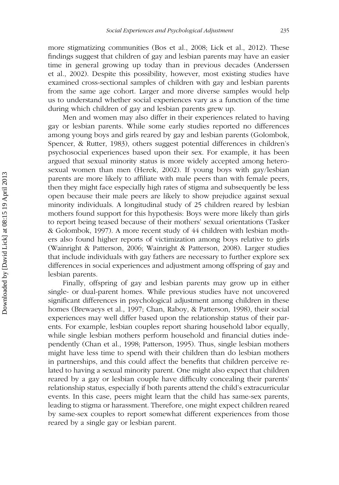more stigmatizing communities (Bos et al., 2008; Lick et al., 2012). These findings suggest that children of gay and lesbian parents may have an easier time in general growing up today than in previous decades (Anderssen et al., 2002). Despite this possibility, however, most existing studies have examined cross-sectional samples of children with gay and lesbian parents from the same age cohort. Larger and more diverse samples would help us to understand whether social experiences vary as a function of the time during which children of gay and lesbian parents grew up.

Men and women may also differ in their experiences related to having gay or lesbian parents. While some early studies reported no differences among young boys and girls reared by gay and lesbian parents (Golombok, Spencer, & Rutter, 1983), others suggest potential differences in children's psychosocial experiences based upon their sex. For example, it has been argued that sexual minority status is more widely accepted among heterosexual women than men (Herek, 2002). If young boys with gay/lesbian parents are more likely to affiliate with male peers than with female peers, then they might face especially high rates of stigma and subsequently be less open because their male peers are likely to show prejudice against sexual minority individuals. A longitudinal study of 25 children reared by lesbian mothers found support for this hypothesis: Boys were more likely than girls to report being teased because of their mothers' sexual orientations (Tasker & Golombok, 1997). A more recent study of 44 children with lesbian mothers also found higher reports of victimization among boys relative to girls (Wainright & Patterson, 2006; Wainright & Patterson, 2008). Larger studies that include individuals with gay fathers are necessary to further explore sex differences in social experiences and adjustment among offspring of gay and lesbian parents.

Finally, offspring of gay and lesbian parents may grow up in either single- or dual-parent homes. While previous studies have not uncovered significant differences in psychological adjustment among children in these homes (Brewaeys et al., 1997; Chan, Raboy, & Patterson, 1998), their social experiences may well differ based upon the relationship status of their parents. For example, lesbian couples report sharing household labor equally, while single lesbian mothers perform household and financial duties independently (Chan et al., 1998; Patterson, 1995). Thus, single lesbian mothers might have less time to spend with their children than do lesbian mothers in partnerships, and this could affect the benefits that children perceive related to having a sexual minority parent. One might also expect that children reared by a gay or lesbian couple have difficulty concealing their parents' relationship status, especially if both parents attend the child's extracurricular events. In this case, peers might learn that the child has same-sex parents, leading to stigma or harassment. Therefore, one might expect children reared by same-sex couples to report somewhat different experiences from those reared by a single gay or lesbian parent.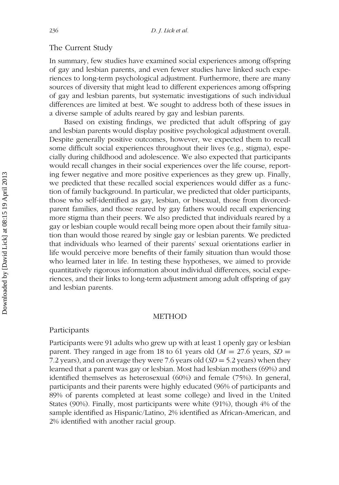#### The Current Study

In summary, few studies have examined social experiences among offspring of gay and lesbian parents, and even fewer studies have linked such experiences to long-term psychological adjustment. Furthermore, there are many sources of diversity that might lead to different experiences among offspring of gay and lesbian parents, but systematic investigations of such individual differences are limited at best. We sought to address both of these issues in a diverse sample of adults reared by gay and lesbian parents.

Based on existing findings, we predicted that adult offspring of gay and lesbian parents would display positive psychological adjustment overall. Despite generally positive outcomes, however, we expected them to recall some difficult social experiences throughout their lives (e.g., stigma), especially during childhood and adolescence. We also expected that participants would recall changes in their social experiences over the life course, reporting fewer negative and more positive experiences as they grew up. Finally, we predicted that these recalled social experiences would differ as a function of family background. In particular, we predicted that older participants, those who self-identified as gay, lesbian, or bisexual, those from divorcedparent families, and those reared by gay fathers would recall experiencing more stigma than their peers. We also predicted that individuals reared by a gay or lesbian couple would recall being more open about their family situation than would those reared by single gay or lesbian parents. We predicted that individuals who learned of their parents' sexual orientations earlier in life would perceive more benefits of their family situation than would those who learned later in life. In testing these hypotheses, we aimed to provide quantitatively rigorous information about individual differences, social experiences, and their links to long-term adjustment among adult offspring of gay and lesbian parents.

#### METHOD

#### Participants

Participants were 91 adults who grew up with at least 1 openly gay or lesbian parent. They ranged in age from 18 to 61 years old ( $M = 27.6$  years,  $SD =$ 7.2 years), and on average they were 7.6 years old (*SD* = 5.2 years) when they learned that a parent was gay or lesbian. Most had lesbian mothers (69%) and identified themselves as heterosexual (60%) and female (75%). In general, participants and their parents were highly educated (96% of participants and 89% of parents completed at least some college) and lived in the United States (90%). Finally, most participants were white (91%), though 4% of the sample identified as Hispanic/Latino, 2% identified as African-American, and 2% identified with another racial group.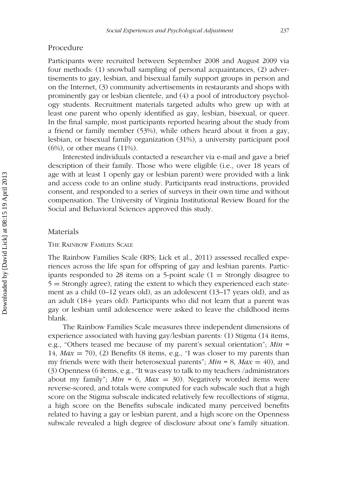#### Procedure

Participants were recruited between September 2008 and August 2009 via four methods: (1) snowball sampling of personal acquaintances, (2) advertisements to gay, lesbian, and bisexual family support groups in person and on the Internet, (3) community advertisements in restaurants and shops with prominently gay or lesbian clientele, and (4) a pool of introductory psychology students. Recruitment materials targeted adults who grew up with at least one parent who openly identified as gay, lesbian, bisexual, or queer. In the final sample, most participants reported hearing about the study from a friend or family member (53%), while others heard about it from a gay, lesbian, or bisexual family organization (31%), a university participant pool  $(6%)$ , or other means  $(11%)$ .

Interested individuals contacted a researcher via e-mail and gave a brief description of their family. Those who were eligible (i.e., over 18 years of age with at least 1 openly gay or lesbian parent) were provided with a link and access code to an online study. Participants read instructions, provided consent, and responded to a series of surveys in their own time and without compensation. The University of Virginia Institutional Review Board for the Social and Behavioral Sciences approved this study.

#### Materials

#### THE RAINBOW FAMILIES SCALE

The Rainbow Families Scale (RFS; Lick et al., 2011) assessed recalled experiences across the life span for offspring of gay and lesbian parents. Participants responded to 28 items on a 5-point scale  $(1 =$  Strongly disagree to 5 = Strongly agree), rating the extent to which they experienced each statement as a child  $(0-12 \text{ years old})$ , as an adolescent  $(13-17 \text{ years old})$ , and as an adult (18+ years old). Participants who did not learn that a parent was gay or lesbian until adolescence were asked to leave the childhood items blank.

The Rainbow Families Scale measures three independent dimensions of experience associated with having gay/lesbian parents: (1) Stigma (14 items, e.g., "Others teased me because of my parent's sexual orientation"; *Min =* 14,  $Max = 70$ , (2) Benefits (8 items, e.g., "I was closer to my parents than my friends were with their heterosexual parents"; *Min =* 8, *Max* = 40), and (3) Openness (6 items, e.g., "It was easy to talk to my teachers /administrators about my family"; *Min =* 6, *Max* = 30). Negatively worded items were reverse-scored, and totals were computed for each subscale such that a high score on the Stigma subscale indicated relatively few recollections of stigma, a high score on the Benefits subscale indicated many perceived benefits related to having a gay or lesbian parent, and a high score on the Openness subscale revealed a high degree of disclosure about one's family situation.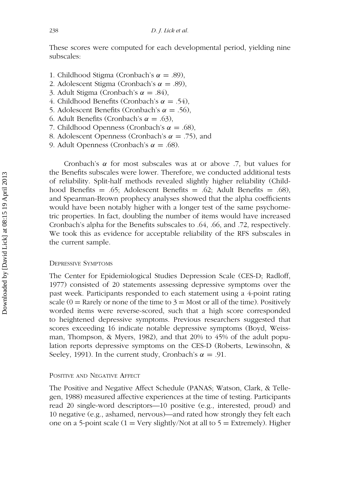These scores were computed for each developmental period, yielding nine subscales:

- 1. Childhood Stigma (Cronbach's  $\alpha = .89$ ),
- 2. Adolescent Stigma (Cronbach's  $\alpha = .89$ ),
- 3. Adult Stigma (Cronbach's  $\alpha = .84$ ),
- 4. Childhood Benefits (Cronbach's  $\alpha = .54$ ),
- 5. Adolescent Benefits (Cronbach's  $\alpha = .56$ ),
- 6. Adult Benefits (Cronbach's  $\alpha = .63$ ),
- 7. Childhood Openness (Cronbach's  $\alpha = .68$ ),
- 8. Adolescent Openness (Cronbach's  $\alpha = .75$ ), and
- 9. Adult Openness (Cronbach's  $\alpha = .68$ ).

Cronbach's  $\alpha$  for most subscales was at or above .7, but values for the Benefits subscales were lower. Therefore, we conducted additional tests of reliability. Split-half methods revealed slightly higher reliability (Childhood Benefits = .65; Adolescent Benefits = .62; Adult Benefits = .68), and Spearman-Brown prophecy analyses showed that the alpha coefficients would have been notably higher with a longer test of the same psychometric properties. In fact, doubling the number of items would have increased Cronbach's alpha for the Benefits subscales to .64, .66, and .72, respectively. We took this as evidence for acceptable reliability of the RFS subscales in the current sample.

#### DEPRESSIVE SYMPTOMS

The Center for Epidemiological Studies Depression Scale (CES-D; Radloff, 1977) consisted of 20 statements assessing depressive symptoms over the past week. Participants responded to each statement using a 4-point rating scale ( $0 =$  Rarely or none of the time to  $3 =$  Most or all of the time). Positively worded items were reverse-scored, such that a high score corresponded to heightened depressive symptoms. Previous researchers suggested that scores exceeding 16 indicate notable depressive symptoms (Boyd, Weissman, Thompson, & Myers, 1982), and that 20% to 45% of the adult population reports depressive symptoms on the CES-D (Roberts, Lewinsohn, & Seeley, 1991). In the current study, Cronbach's  $\alpha = .91$ .

#### POSITIVE AND NEGATIVE AFFECT

The Positive and Negative Affect Schedule (PANAS; Watson, Clark, & Tellegen, 1988) measured affective experiences at the time of testing. Participants read 20 single-word descriptors—10 positive (e.g., interested, proud) and 10 negative (e.g., ashamed, nervous)—and rated how strongly they felt each one on a 5-point scale  $(1 = \text{Very slightly/Not at all to } 5 = \text{Extremely})$ . Higher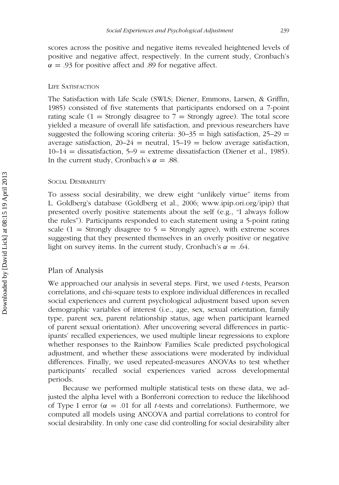scores across the positive and negative items revealed heightened levels of positive and negative affect, respectively. In the current study, Cronbach's  $\alpha$  = .93 for positive affect and .89 for negative affect.

#### LIFE SATISFACTION

The Satisfaction with Life Scale (SWLS; Diener, Emmons, Larsen, & Griffin, 1985) consisted of five statements that participants endorsed on a 7-point rating scale  $(1 =$  Strongly disagree to  $7 =$  Strongly agree). The total score yielded a measure of overall life satisfaction, and previous researchers have suggested the following scoring criteria:  $30-35 =$  high satisfaction,  $25-29 =$ average satisfaction,  $20-24$  = neutral,  $15-19$  = below average satisfaction,  $10-14$  = dissatisfaction,  $5-9$  = extreme dissatisfaction (Diener et al., 1985). In the current study, Cronbach's  $\alpha = .88$ .

#### SOCIAL DESIRABILITY

To assess social desirability, we drew eight "unlikely virtue" items from L. Goldberg's database (Goldberg et al., 2006; www.ipip.ori.org/ipip) that presented overly positive statements about the self (e.g., "I always follow the rules"). Participants responded to each statement using a 5-point rating scale  $(1 =$  Strongly disagree to  $5 =$  Strongly agree), with extreme scores suggesting that they presented themselves in an overly positive or negative light on survey items. In the current study, Cronbach's  $\alpha = .64$ .

#### Plan of Analysis

We approached our analysis in several steps. First, we used *t*-tests, Pearson correlations, and chi-square tests to explore individual differences in recalled social experiences and current psychological adjustment based upon seven demographic variables of interest (i.e., age, sex, sexual orientation, family type, parent sex, parent relationship status, age when participant learned of parent sexual orientation). After uncovering several differences in participants' recalled experiences, we used multiple linear regressions to explore whether responses to the Rainbow Families Scale predicted psychological adjustment, and whether these associations were moderated by individual differences. Finally, we used repeated-measures ANOVAs to test whether participants' recalled social experiences varied across developmental periods.

Because we performed multiple statistical tests on these data, we adjusted the alpha level with a Bonferroni correction to reduce the likelihood of Type I error ( $\alpha = .01$  for all *t*-tests and correlations). Furthermore, we computed all models using ANCOVA and partial correlations to control for social desirability. In only one case did controlling for social desirability alter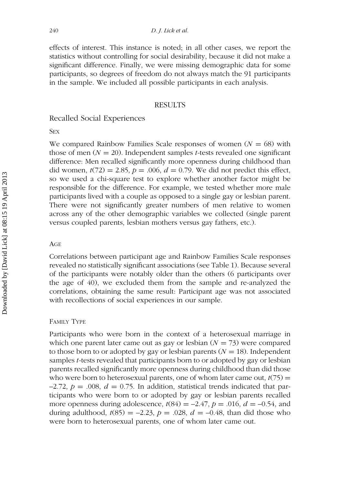effects of interest. This instance is noted; in all other cases, we report the statistics without controlling for social desirability, because it did not make a significant difference. Finally, we were missing demographic data for some participants, so degrees of freedom do not always match the 91 participants in the sample. We included all possible participants in each analysis.

#### RESULTS

#### Recalled Social Experiences

**SEX** 

We compared Rainbow Families Scale responses of women  $(N = 68)$  with those of men  $(N = 20)$ . Independent samples *t*-tests revealed one significant difference: Men recalled significantly more openness during childhood than did women,  $t(72) = 2.85$ ,  $p = .006$ ,  $d = 0.79$ . We did not predict this effect, so we used a chi-square test to explore whether another factor might be responsible for the difference. For example, we tested whether more male participants lived with a couple as opposed to a single gay or lesbian parent. There were not significantly greater numbers of men relative to women across any of the other demographic variables we collected (single parent versus coupled parents, lesbian mothers versus gay fathers, etc.).

#### AGE

Correlations between participant age and Rainbow Families Scale responses revealed no statistically significant associations (see Table 1). Because several of the participants were notably older than the others (6 participants over the age of 40), we excluded them from the sample and re-analyzed the correlations, obtaining the same result: Participant age was not associated with recollections of social experiences in our sample.

#### FAMILY TYPE

Participants who were born in the context of a heterosexual marriage in which one parent later came out as gay or lesbian  $(N = 73)$  were compared to those born to or adopted by gay or lesbian parents  $(N = 18)$ . Independent samples *t*-tests revealed that participants born to or adopted by gay or lesbian parents recalled significantly more openness during childhood than did those who were born to heterosexual parents, one of whom later came out,  $t(75)$  =  $-2.72$ ,  $p = .008$ ,  $d = 0.75$ . In addition, statistical trends indicated that participants who were born to or adopted by gay or lesbian parents recalled more openness during adolescence,  $t(84) = -2.47$ ,  $p = .016$ ,  $d = -0.54$ , and during adulthood,  $t(85) = -2.23$ ,  $p = .028$ ,  $d = -0.48$ , than did those who were born to heterosexual parents, one of whom later came out.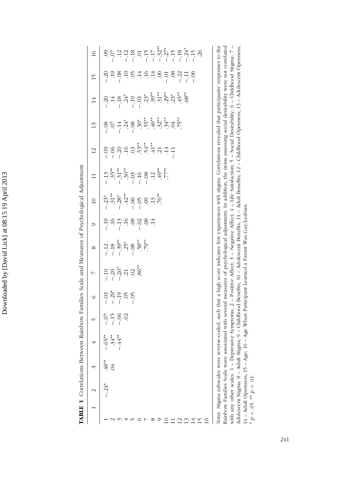| J<br>֠<br>à                              |
|------------------------------------------|
| ֠<br>֕<br>١<br>ŧ<br>۱<br>ı               |
| ֚֕֡                                      |
| ì<br>I<br>J                              |
| ֧֚֓֜֡֓֡֓֡֓֡֓֡֓֟<br>j<br>۱<br>I<br>l<br>I |
| ֚<br>ı<br>ij                             |
| ֕<br>i<br>I                              |
| ׇ֚֘                                      |
| I<br>ׇ֚                                  |
|                                          |
| ֕<br>i<br>I                              |

| $\overline{\phantom{a}}$                   |
|--------------------------------------------|
|                                            |
|                                            |
|                                            |
| í                                          |
| ï                                          |
| Ï                                          |
| i                                          |
| i                                          |
|                                            |
|                                            |
| I<br>l                                     |
|                                            |
| ì                                          |
|                                            |
|                                            |
|                                            |
|                                            |
| <br> <br>                                  |
| ĺ                                          |
|                                            |
| Ï                                          |
| ă<br>l                                     |
| l                                          |
| i                                          |
| Ì<br>ı                                     |
| $\begin{array}{c} \hline \end{array}$<br>j |
|                                            |
| į                                          |
| l                                          |
| I<br>l                                     |
| l                                          |
|                                            |
| I                                          |
|                                            |
| ֖֖֖֖֖֪ׅ֖֖֧ׅׅ֪֪ׅ֖֚֚֚֚֚֚֚֚֚֚֚֚֚֚֚֚֚֚֚֬֝֝֝֝֝֝ |
|                                            |
| Ó<br>ì                                     |
| Ï<br>l                                     |
| $\overline{\phantom{a}}$<br>١              |
| ۱                                          |
| Į<br>l                                     |
| $\frac{1}{2}$<br>l                         |
| ¢<br>i<br>i                                |
|                                            |

| 888887878888758<br> -<br> -<br>$1\qquad \qquad 1\qquad \  \, 1\qquad \  \, 1\qquad \  \, 1\qquad \  \, 1\qquad \  \, 1\qquad \  \, 1\qquad \qquad 1\qquad \qquad 1\qquad \qquad 1\qquad \qquad 1\qquad \qquad 1\qquad \qquad 1\qquad \qquad 1\qquad \qquad 1\qquad \qquad 1\qquad \qquad 1\qquad \qquad 1\qquad \qquad 1\qquad \qquad 1\qquad \qquad 1\qquad \qquad 1\qquad \qquad 1\qquad \qquad 1\qquad \qquad 1\qquad \qquad 1\qquad \q$<br>- 1 1<br>2009 - 2009<br>2009 - 2009 - 2010<br>2010 - 2011 - 2011 - 2011 - 2014 - 2014 - 2014 - 2014 - 2014 - 2014 - 2014 - 2014 - 2014 - 2014 - 2014 - 2014<br>$\frac{1}{1} \cdot \frac{2}{1} \cdot \frac{3}{1} \cdot \frac{5}{1} \cdot \frac{5}{1} \cdot \frac{3}{1} \cdot \frac{3}{1} \cdot \frac{3}{1} \cdot \frac{3}{1} \cdot \frac{3}{1} \cdot \frac{3}{1} \cdot \frac{3}{1} \cdot \frac{3}{1} \cdot \frac{3}{1} \cdot \frac{3}{1} \cdot \frac{3}{1} \cdot \frac{3}{1} \cdot \frac{3}{1} \cdot \frac{3}{1} \cdot \frac{3}{1} \cdot \frac{3}{1} \cdot \frac{3}{1} \cdot \frac{3}{1} \cdot \frac{3}{1} \cdot \frac{3$<br>$-38.2$<br>$-3.2$<br>$-1.7$<br>$-1.2$<br>$-3.2$<br>$-3.2$<br>$-3.2$<br>$-3.2$<br>$-3.2$<br>$-25.58$ |
|--------------------------------------------------------------------------------------------------------------------------------------------------------------------------------------------------------------------------------------------------------------------------------------------------------------------------------------------------------------------------------------------------------------------------------------------------------------------------------------------------------------------------------------------------------------------------------------------------------------------------------------------------------------------------------------------------------------------------------------------------------------------------------------------------------------------------------------------------------------------------------------------------------------------------------------------------------------------------------------------------------------------------------------------------------------------------------------------------------------------------------------------------------------------------------|
|                                                                                                                                                                                                                                                                                                                                                                                                                                                                                                                                                                                                                                                                                                                                                                                                                                                                                                                                                                                                                                                                                                                                                                                |
|                                                                                                                                                                                                                                                                                                                                                                                                                                                                                                                                                                                                                                                                                                                                                                                                                                                                                                                                                                                                                                                                                                                                                                                |
|                                                                                                                                                                                                                                                                                                                                                                                                                                                                                                                                                                                                                                                                                                                                                                                                                                                                                                                                                                                                                                                                                                                                                                                |
|                                                                                                                                                                                                                                                                                                                                                                                                                                                                                                                                                                                                                                                                                                                                                                                                                                                                                                                                                                                                                                                                                                                                                                                |
|                                                                                                                                                                                                                                                                                                                                                                                                                                                                                                                                                                                                                                                                                                                                                                                                                                                                                                                                                                                                                                                                                                                                                                                |
|                                                                                                                                                                                                                                                                                                                                                                                                                                                                                                                                                                                                                                                                                                                                                                                                                                                                                                                                                                                                                                                                                                                                                                                |
|                                                                                                                                                                                                                                                                                                                                                                                                                                                                                                                                                                                                                                                                                                                                                                                                                                                                                                                                                                                                                                                                                                                                                                                |
|                                                                                                                                                                                                                                                                                                                                                                                                                                                                                                                                                                                                                                                                                                                                                                                                                                                                                                                                                                                                                                                                                                                                                                                |
|                                                                                                                                                                                                                                                                                                                                                                                                                                                                                                                                                                                                                                                                                                                                                                                                                                                                                                                                                                                                                                                                                                                                                                                |
|                                                                                                                                                                                                                                                                                                                                                                                                                                                                                                                                                                                                                                                                                                                                                                                                                                                                                                                                                                                                                                                                                                                                                                                |
|                                                                                                                                                                                                                                                                                                                                                                                                                                                                                                                                                                                                                                                                                                                                                                                                                                                                                                                                                                                                                                                                                                                                                                                |
|                                                                                                                                                                                                                                                                                                                                                                                                                                                                                                                                                                                                                                                                                                                                                                                                                                                                                                                                                                                                                                                                                                                                                                                |
|                                                                                                                                                                                                                                                                                                                                                                                                                                                                                                                                                                                                                                                                                                                                                                                                                                                                                                                                                                                                                                                                                                                                                                                |
|                                                                                                                                                                                                                                                                                                                                                                                                                                                                                                                                                                                                                                                                                                                                                                                                                                                                                                                                                                                                                                                                                                                                                                                |
|                                                                                                                                                                                                                                                                                                                                                                                                                                                                                                                                                                                                                                                                                                                                                                                                                                                                                                                                                                                                                                                                                                                                                                                |
|                                                                                                                                                                                                                                                                                                                                                                                                                                                                                                                                                                                                                                                                                                                                                                                                                                                                                                                                                                                                                                                                                                                                                                                |

with any other scales. 1 – Depressive Symptoms; 2 – Positive Affect; 3 – Negative Affect; 4 – Life Satisfaction; 5 – Social Desirability; 6 – Childhood Stigma; 7 – Adolescent Stigma; 8 – Adult Stigma; 9 – Childhood Benefits; 10 – Adolescent Benefits; 11 – Adult Benefits; 12 – Childhood Openness; 13 – Adolescent Openness; 14 – Adult Openness; 15 – Age; – Age When Participant Learned a Parent Was Gay/Lesbian. with any other scales. 1 – Depressive Symptoms; 2 – Positive Affect; 3 – Negative Affect; 4 – Life Satisfaction; 5 – Social Desirability; 6 – Childhood Stigma; 7 –<br>Adolescent Stigma; 8 – Adult Stigma; 9 – Childhood Benefi *p* < .05. ∗∗ *p* < .01.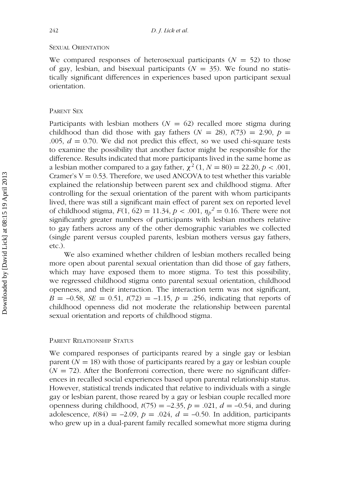#### SEXUAL ORIENTATION

We compared responses of heterosexual participants  $(N = 52)$  to those of gay, lesbian, and bisexual participants  $(N = 35)$ . We found no statistically significant differences in experiences based upon participant sexual orientation.

#### PARENT SEX

Participants with lesbian mothers  $(N = 62)$  recalled more stigma during childhood than did those with gay fathers  $(N = 28)$ ,  $t(73) = 2.90$ ,  $p =$ .005,  $d = 0.70$ . We did not predict this effect, so we used chi-square tests to examine the possibility that another factor might be responsible for the difference. Results indicated that more participants lived in the same home as a lesbian mother compared to a gay father,  $\chi^2$  (1,  $N = 80$ ) = 22.20,  $p < .001$ , Cramer's  $V = 0.53$ . Therefore, we used ANCOVA to test whether this variable explained the relationship between parent sex and childhood stigma. After controlling for the sexual orientation of the parent with whom participants lived, there was still a significant main effect of parent sex on reported level of childhood stigma,  $F(1, 62) = 11.34, p < .001, \eta_p^2 = 0.16$ . There were not significantly greater numbers of participants with lesbian mothers relative to gay fathers across any of the other demographic variables we collected (single parent versus coupled parents, lesbian mothers versus gay fathers, etc.).

We also examined whether children of lesbian mothers recalled being more open about parental sexual orientation than did those of gay fathers, which may have exposed them to more stigma. To test this possibility, we regressed childhood stigma onto parental sexual orientation, childhood openness, and their interaction. The interaction term was not significant,  $B = -0.58$ ,  $SE = 0.51$ ,  $t(72) = -1.15$ ,  $p = .256$ , indicating that reports of childhood openness did not moderate the relationship between parental sexual orientation and reports of childhood stigma.

#### PARENT RELATIONSHIP STATUS

We compared responses of participants reared by a single gay or lesbian parent  $(N = 18)$  with those of participants reared by a gay or lesbian couple  $(N = 72)$ . After the Bonferroni correction, there were no significant differences in recalled social experiences based upon parental relationship status. However, statistical trends indicated that relative to individuals with a single gay or lesbian parent, those reared by a gay or lesbian couple recalled more openness during childhood,  $t(75) = -2.35$ ,  $p = .021$ ,  $d = -0.54$ , and during adolescence,  $t(84) = -2.09$ ,  $p = .024$ ,  $d = -0.50$ . In addition, participants who grew up in a dual-parent family recalled somewhat more stigma during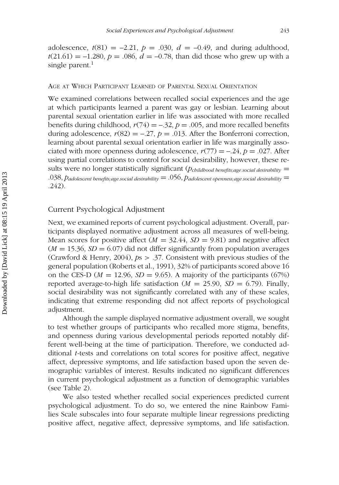adolescence,  $t(81) = -2.21$ ,  $p = .030$ ,  $d = -0.49$ , and during adulthood,  $t(21.61) = -1.280$ ,  $p = .086$ ,  $d = -0.78$ , than did those who grew up with a single parent. $<sup>1</sup>$ </sup>

#### AGE AT WHICH PARTICIPANT LEARNED OF PARENTAL SEXUAL ORIENTATION

We examined correlations between recalled social experiences and the age at which participants learned a parent was gay or lesbian. Learning about parental sexual orientation earlier in life was associated with more recalled benefits during childhood,  $r(74) = -.32$ ,  $p = .005$ , and more recalled benefits during adolescence,  $r(82) = -.27$ ,  $p = .013$ . After the Bonferroni correction, learning about parental sexual orientation earlier in life was marginally associated with more openness during adolescence,  $r(77) = -.24$ ,  $p = .027$ . After using partial correlations to control for social desirability, however, these results were no longer statistically significant (*pchildhood benefits;age.social desirability* = .038, *padolescent benefits;age.social desirability* = .056, *padolescent openness;age.social desirability* = .242).

#### Current Psychological Adjustment

Next, we examined reports of current psychological adjustment. Overall, participants displayed normative adjustment across all measures of well-being. Mean scores for positive affect  $(M = 32.44, SD = 9.81)$  and negative affect  $(M = 15.36, SD = 6.07)$  did not differ significantly from population averages (Crawford & Henry, 2004), *p*s > .37. Consistent with previous studies of the general population (Roberts et al., 1991), 32% of participants scored above 16 on the CES-D ( $M = 12.96$ ,  $SD = 9.65$ ). A majority of the participants (67%) reported average-to-high life satisfaction  $(M = 25.90, SD = 6.79)$ . Finally, social desirability was not significantly correlated with any of these scales, indicating that extreme responding did not affect reports of psychological adjustment.

Although the sample displayed normative adjustment overall, we sought to test whether groups of participants who recalled more stigma, benefits, and openness during various developmental periods reported notably different well-being at the time of participation. Therefore, we conducted additional *t*-tests and correlations on total scores for positive affect, negative affect, depressive symptoms, and life satisfaction based upon the seven demographic variables of interest. Results indicated no significant differences in current psychological adjustment as a function of demographic variables (see Table 2).

We also tested whether recalled social experiences predicted current psychological adjustment. To do so, we entered the nine Rainbow Families Scale subscales into four separate multiple linear regressions predicting positive affect, negative affect, depressive symptoms, and life satisfaction.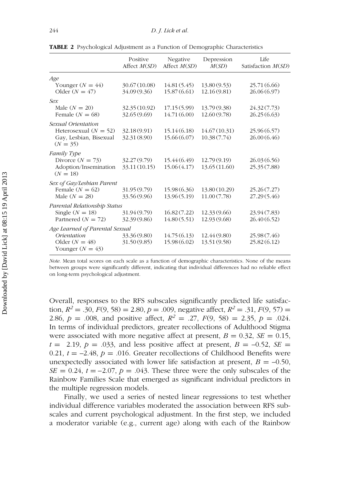|                                        | Positive<br>Affect $M(SD)$ | Negative<br>Affect $M(SD)$ | Depression<br>M(SD) | Life<br>Satisfaction M(SD) |
|----------------------------------------|----------------------------|----------------------------|---------------------|----------------------------|
| Age                                    |                            |                            |                     |                            |
| Younger $(N = 44)$                     | 30.67(10.08)               | 14.81(5.45)                | 13.80(9.53)         | 25.71 (6.66)               |
| Older $(N = 47)$                       | 34.09 (9.36)               | 15.87(6.61)                | 12.16(9.81)         | 26.06(6.97)                |
| Sex                                    |                            |                            |                     |                            |
| Male $(N = 20)$                        | 32.35 (10.92)              | 17.15(5.99)                | 13.79 (9.38)        | 24.32(7.73)                |
| Female $(N = 68)$                      | 32.65 (9.69)               | 14.71(6.00)                | 12.60(9.78)         | 26.25(6.63)                |
| Sexual Orientation                     |                            |                            |                     |                            |
| Heterosexual $(N = 52)$                | 32.18(9.91)                | 15.14(6.18)                | 14.67(10.31)        | 25.96(6.57)                |
| Gay, Lesbian, Bisexual<br>$(N = 35)$   | 32.31 (8.90)               | 15.66(6.07)                | 10.38(7.74)         | 26.00(6.46)                |
| Family Type                            |                            |                            |                     |                            |
| Divorce $(N = 73)$                     | 32.27(9.79)                | 15.44 (6.49)               | 12.79(9.19)         | 26.03(6.56)                |
| Adoption/Insemination<br>$(N = 18)$    | 33.11(10.15)               | 15.06(4.17)                | 13.65 (11.60)       | 25.35(7.88)                |
| Sex of Gay/Lesbian Parent              |                            |                            |                     |                            |
| Female $(N = 62)$                      | 31.95 (9.79)               | 15.98 (6.36)               | 13.80(10.29)        | 25.26(7.27)                |
| Male $(N = 28)$                        | 33.56 (9.96)               | 13.96(5.19)                | 11.00(7.78)         | 27.29(5.46)                |
| Parental Relationship Status           |                            |                            |                     |                            |
| Single ( $N = 18$ )                    | 31.94 (9.79)               | 16.82(7.22)                | 12.33(9.66)         | 23.94 (7.83)               |
| Partnered $(N = 72)$                   | 32.39 (9.86)               | 14.80(5.51)                | 12.93(9.68)         | 26.40(6.52)                |
| Age Learned of Parental Sexual         |                            |                            |                     |                            |
| Orientation                            | 33.36 (9.80)               | 14.75(6.13)                | 12.44 (9.80)        | 25.98(7.46)                |
| Older $(N = 48)$<br>Younger $(N = 43)$ | 31.50 (9.85)               | 15.98(6.02)                | 13.51 (9.58)        | 25.82(6.12)                |

**TABLE 2** Psychological Adjustment as a Function of Demographic Characteristics

*Note.* Mean total scores on each scale as a function of demographic characteristics. None of the means between groups were significantly different, indicating that individual differences had no reliable effect on long-term psychological adjustment.

Overall, responses to the RFS subscales significantly predicted life satisfaction,  $R^2 = .30$ ,  $F(9, 58) = 2.80$ ,  $p = .009$ , negative affect,  $R^2 = .31$ ,  $F(9, 57) =$ 2.86,  $p = .008$ , and positive affect,  $R^2 = .27$ ,  $F(9, 58) = 2.35$ ,  $p = .024$ . In terms of individual predictors, greater recollections of Adulthood Stigma were associated with more negative affect at present,  $B = 0.32$ ,  $SE = 0.15$ ,  $t = 2.19$ ,  $p = .033$ , and less positive affect at present,  $B = -0.52$ ,  $SE =$ 0.21,  $t = -2.48$ ,  $p = .016$ . Greater recollections of Childhood Benefits were unexpectedly associated with lower life satisfaction at present,  $B = -0.50$ ,  $SE = 0.24$ ,  $t = -2.07$ ,  $p = .043$ . These three were the only subscales of the Rainbow Families Scale that emerged as significant individual predictors in the multiple regression models.

Finally, we used a series of nested linear regressions to test whether individual difference variables moderated the association between RFS subscales and current psychological adjustment. In the first step, we included a moderator variable (e.g., current age) along with each of the Rainbow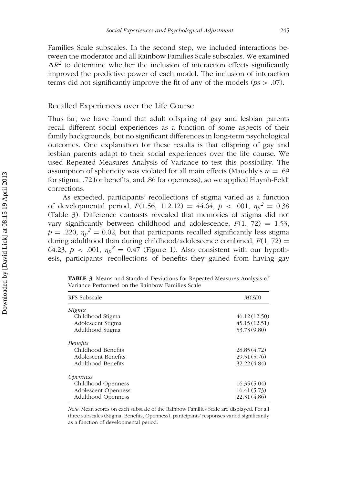Families Scale subscales. In the second step, we included interactions between the moderator and all Rainbow Families Scale subscales. We examined  $\Delta R^2$  to determine whether the inclusion of interaction effects significantly improved the predictive power of each model. The inclusion of interaction terms did not significantly improve the fit of any of the models (*p*s > .07).

### Recalled Experiences over the Life Course

Thus far, we have found that adult offspring of gay and lesbian parents recall different social experiences as a function of some aspects of their family backgrounds, but no significant differences in long-term psychological outcomes. One explanation for these results is that offspring of gay and lesbian parents adapt to their social experiences over the life course. We used Repeated Measures Analysis of Variance to test this possibility. The assumption of sphericity was violated for all main effects (Mauchly's *w* = .69 for stigma, .72 for benefits, and .86 for openness), so we applied Huynh-Feldt corrections.

As expected, participants' recollections of stigma varied as a function of developmental period,  $F(1.56, 112.12) = 44.64, p < .001, \eta_p^2 = 0.38$ (Table 3). Difference contrasts revealed that memories of stigma did not vary significantly between childhood and adolescence,  $F(1, 72) = 1.53$ ,  $p = .220$ ,  $\eta_p^2 = 0.02$ , but that participants recalled significantly less stigma during adulthood than during childhood/adolescence combined, *F*(1, 72) = 64.23,  $p < .001$ ,  $\eta_p^2 = 0.47$  (Figure 1). Also consistent with our hypothesis, participants' recollections of benefits they gained from having gay

RFS Subscale *M*(*SD*) *Stigma* Childhood Stigma 46.12 (12.50) Adolescent Stigma 45.15 (12.51) Adulthood Stigma 53.73 (9.80) *Benefits* Childhood Benefits 28.85 (4.72) Adolescent Benefits 29.51 (5.76) Adulthood Benefits 32.22 (4.84) *Openness* Childhood Openness 16.35 (5.04)<br>Adolescent Openness 16.41 (5.73) Adolescent Openness Adulthood Openness 22.31 (4.86)

**TABLE 3** Means and Standard Deviations for Repeated Measures Analysis of Variance Performed on the Rainbow Families Scale

*Note.* Mean scores on each subscale of the Rainbow Families Scale are displayed. For all three subscales (Stigma, Benefits, Openness), participants' responses varied significantly as a function of developmental period.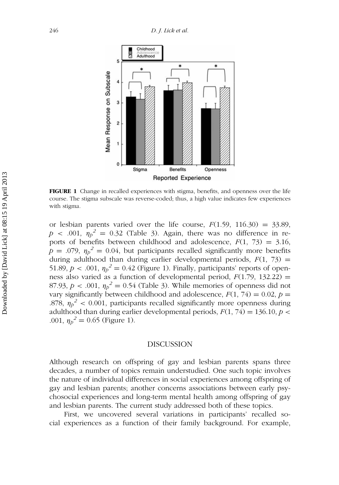

**FIGURE 1** Change in recalled experiences with stigma, benefits, and openness over the life course. The stigma subscale was reverse-coded; thus, a high value indicates few experiences with stigma.

or lesbian parents varied over the life course,  $F(1.59, 116.30) = 33.89$ ,  $p \lt 0.001$ ,  $\eta_p^2 = 0.32$  (Table 3). Again, there was no difference in reports of benefits between childhood and adolescence,  $F(1, 73) = 3.16$ ,  $p = .079$ ,  $\eta_p^2 = 0.04$ , but participants recalled significantly more benefits during adulthood than during earlier developmental periods,  $F(1, 73) =$ 51.89,  $p < .001$ ,  $\eta_p^2 = 0.42$  (Figure 1). Finally, participants' reports of openness also varied as a function of developmental period,  $F(1.79, 132.22)$  = 87.93,  $p < .001$ ,  $\eta_p^2 = 0.54$  (Table 3). While memories of openness did not vary significantly between childhood and adolescence,  $F(1, 74) = 0.02$ ,  $p =$ .878,  $\eta_p^2$  < 0.001, participants recalled significantly more openness during adulthood than during earlier developmental periods,  $F(1, 74) = 136.10$ ,  $p <$ .001,  $\eta_p^2 = 0.65$  (Figure 1).

#### DISCUSSION

Although research on offspring of gay and lesbian parents spans three decades, a number of topics remain understudied. One such topic involves the nature of individual differences in social experiences among offspring of gay and lesbian parents; another concerns associations between early psychosocial experiences and long-term mental health among offspring of gay and lesbian parents. The current study addressed both of these topics.

First, we uncovered several variations in participants' recalled social experiences as a function of their family background. For example,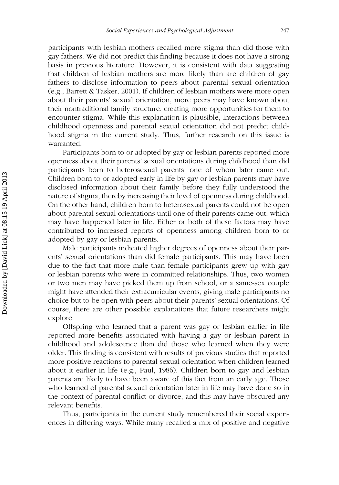participants with lesbian mothers recalled more stigma than did those with gay fathers. We did not predict this finding because it does not have a strong basis in previous literature. However, it is consistent with data suggesting that children of lesbian mothers are more likely than are children of gay fathers to disclose information to peers about parental sexual orientation (e.g., Barrett & Tasker, 2001). If children of lesbian mothers were more open about their parents' sexual orientation, more peers may have known about their nontraditional family structure, creating more opportunities for them to encounter stigma. While this explanation is plausible, interactions between childhood openness and parental sexual orientation did not predict childhood stigma in the current study. Thus, further research on this issue is warranted.

Participants born to or adopted by gay or lesbian parents reported more openness about their parents' sexual orientations during childhood than did participants born to heterosexual parents, one of whom later came out. Children born to or adopted early in life by gay or lesbian parents may have disclosed information about their family before they fully understood the nature of stigma, thereby increasing their level of openness during childhood. On the other hand, children born to heterosexual parents could not be open about parental sexual orientations until one of their parents came out, which may have happened later in life. Either or both of these factors may have contributed to increased reports of openness among children born to or adopted by gay or lesbian parents.

Male participants indicated higher degrees of openness about their parents' sexual orientations than did female participants. This may have been due to the fact that more male than female participants grew up with gay or lesbian parents who were in committed relationships. Thus, two women or two men may have picked them up from school, or a same-sex couple might have attended their extracurricular events, giving male participants no choice but to be open with peers about their parents' sexual orientations. Of course, there are other possible explanations that future researchers might explore.

Offspring who learned that a parent was gay or lesbian earlier in life reported more benefits associated with having a gay or lesbian parent in childhood and adolescence than did those who learned when they were older. This finding is consistent with results of previous studies that reported more positive reactions to parental sexual orientation when children learned about it earlier in life (e.g., Paul, 1986). Children born to gay and lesbian parents are likely to have been aware of this fact from an early age. Those who learned of parental sexual orientation later in life may have done so in the context of parental conflict or divorce, and this may have obscured any relevant benefits.

Thus, participants in the current study remembered their social experiences in differing ways. While many recalled a mix of positive and negative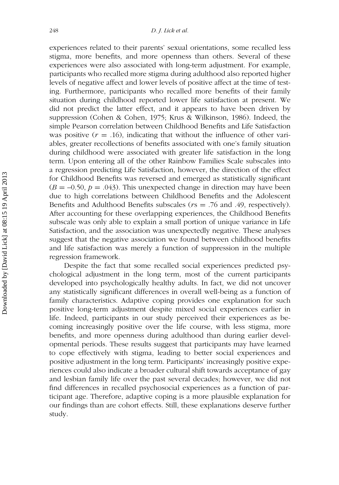experiences related to their parents' sexual orientations, some recalled less stigma, more benefits, and more openness than others. Several of these experiences were also associated with long-term adjustment. For example, participants who recalled more stigma during adulthood also reported higher levels of negative affect and lower levels of positive affect at the time of testing. Furthermore, participants who recalled more benefits of their family situation during childhood reported lower life satisfaction at present. We did not predict the latter effect, and it appears to have been driven by suppression (Cohen & Cohen, 1975; Krus & Wilkinson, 1986). Indeed, the simple Pearson correlation between Childhood Benefits and Life Satisfaction was positive  $(r = .16)$ , indicating that without the influence of other variables, greater recollections of benefits associated with one's family situation during childhood were associated with greater life satisfaction in the long term. Upon entering all of the other Rainbow Families Scale subscales into a regression predicting Life Satisfaction, however, the direction of the effect for Childhood Benefits was reversed and emerged as statistically significant  $(B = -0.50, p = .043)$ . This unexpected change in direction may have been due to high correlations between Childhood Benefits and the Adolescent Benefits and Adulthood Benefits subscales (*r*s = .76 and .49, respectively). After accounting for these overlapping experiences, the Childhood Benefits subscale was only able to explain a small portion of unique variance in Life Satisfaction, and the association was unexpectedly negative. These analyses suggest that the negative association we found between childhood benefits and life satisfaction was merely a function of suppression in the multiple regression framework.

Despite the fact that some recalled social experiences predicted psychological adjustment in the long term, most of the current participants developed into psychologically healthy adults. In fact, we did not uncover any statistically significant differences in overall well-being as a function of family characteristics. Adaptive coping provides one explanation for such positive long-term adjustment despite mixed social experiences earlier in life. Indeed, participants in our study perceived their experiences as becoming increasingly positive over the life course, with less stigma, more benefits, and more openness during adulthood than during earlier developmental periods. These results suggest that participants may have learned to cope effectively with stigma, leading to better social experiences and positive adjustment in the long term. Participants' increasingly positive experiences could also indicate a broader cultural shift towards acceptance of gay and lesbian family life over the past several decades; however, we did not find differences in recalled psychosocial experiences as a function of participant age. Therefore, adaptive coping is a more plausible explanation for our findings than are cohort effects. Still, these explanations deserve further study.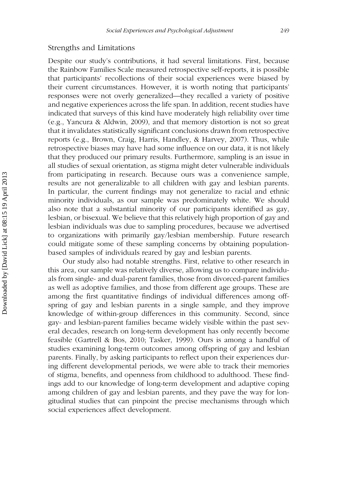#### Strengths and Limitations

Despite our study's contributions, it had several limitations. First, because the Rainbow Families Scale measured retrospective self-reports, it is possible that participants' recollections of their social experiences were biased by their current circumstances. However, it is worth noting that participants' responses were not overly generalized—they recalled a variety of positive and negative experiences across the life span. In addition, recent studies have indicated that surveys of this kind have moderately high reliability over time (e.g., Yancura & Aldwin, 2009), and that memory distortion is not so great that it invalidates statistically significant conclusions drawn from retrospective reports (e.g., Brown, Craig, Harris, Handley, & Harvey, 2007). Thus, while retrospective biases may have had some influence on our data, it is not likely that they produced our primary results. Furthermore, sampling is an issue in all studies of sexual orientation, as stigma might deter vulnerable individuals from participating in research. Because ours was a convenience sample, results are not generalizable to all children with gay and lesbian parents. In particular, the current findings may not generalize to racial and ethnic minority individuals, as our sample was predominately white. We should also note that a substantial minority of our participants identified as gay, lesbian, or bisexual. We believe that this relatively high proportion of gay and lesbian individuals was due to sampling procedures, because we advertised to organizations with primarily gay/lesbian membership. Future research could mitigate some of these sampling concerns by obtaining populationbased samples of individuals reared by gay and lesbian parents.

Our study also had notable strengths. First, relative to other research in this area, our sample was relatively diverse, allowing us to compare individuals from single- and dual-parent families, those from divorced-parent families as well as adoptive families, and those from different age groups. These are among the first quantitative findings of individual differences among offspring of gay and lesbian parents in a single sample, and they improve knowledge of within-group differences in this community. Second, since gay- and lesbian-parent families became widely visible within the past several decades, research on long-term development has only recently become feasible (Gartrell & Bos, 2010; Tasker, 1999). Ours is among a handful of studies examining long-term outcomes among offspring of gay and lesbian parents. Finally, by asking participants to reflect upon their experiences during different developmental periods, we were able to track their memories of stigma, benefits, and openness from childhood to adulthood. These findings add to our knowledge of long-term development and adaptive coping among children of gay and lesbian parents, and they pave the way for longitudinal studies that can pinpoint the precise mechanisms through which social experiences affect development.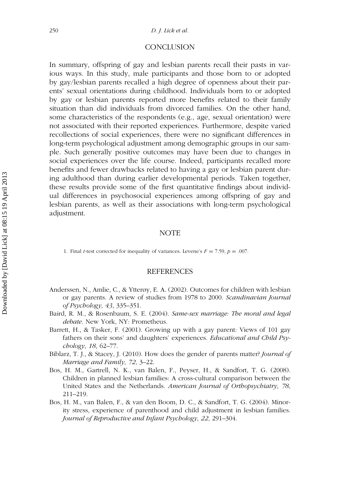#### 250 *D. J. Lick et al.*

#### **CONCLUSION**

In summary, offspring of gay and lesbian parents recall their pasts in various ways. In this study, male participants and those born to or adopted by gay/lesbian parents recalled a high degree of openness about their parents' sexual orientations during childhood. Individuals born to or adopted by gay or lesbian parents reported more benefits related to their family situation than did individuals from divorced families. On the other hand, some characteristics of the respondents (e.g., age, sexual orientation) were not associated with their reported experiences. Furthermore, despite varied recollections of social experiences, there were no significant differences in long-term psychological adjustment among demographic groups in our sample. Such generally positive outcomes may have been due to changes in social experiences over the life course. Indeed, participants recalled more benefits and fewer drawbacks related to having a gay or lesbian parent during adulthood than during earlier developmental periods. Taken together, these results provide some of the first quantitative findings about individual differences in psychosocial experiences among offspring of gay and lesbian parents, as well as their associations with long-term psychological adjustment.

#### **NOTE**

1. Final *t*-test corrected for inequality of variances. Levene's  $F = 7.59$ ,  $p = .007$ .

#### REFERENCES

- Anderssen, N., Amlie, C., & Ytterøy, E. A. (2002). Outcomes for children with lesbian or gay parents. A review of studies from 1978 to 2000. *Scandinavian Journal of Psychology*, *43*, 335–351.
- Baird, R. M., & Rosenbaum, S. E. (2004). *Same-sex marriage: The moral and legal debate*. New York, NY: Prometheus.
- Barrett, H., & Tasker, F. (2001). Growing up with a gay parent: Views of 101 gay fathers on their sons' and daughters' experiences. *Educational and Child Psychology*, *18*, 62–77.
- Biblarz, T. J., & Stacey, J. (2010). How does the gender of parents matter? *Journal of Marriage and Family*, *72*, 3–22.
- Bos, H. M., Gartrell, N. K., van Balen, F., Peyser, H., & Sandfort, T. G. (2008). Children in planned lesbian families: A cross-cultural comparison between the United States and the Netherlands. *American Journal of Orthopsychiatry*, *78*, 211–219.
- Bos, H. M., van Balen, F., & van den Boom, D. C., & Sandfort, T. G. (2004). Minority stress, experience of parenthood and child adjustment in lesbian families. *Journal of Reproductive and Infant Psychology*, *22*, 291–304.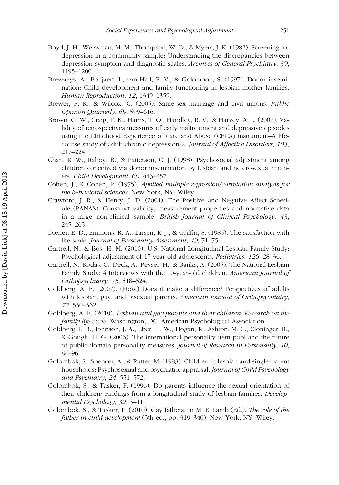- Boyd, J. H., Weissman, M. M., Thompson, W. D., & Myers, J. K. (1982). Screening for depression in a community sample: Understanding the discrepancies between depression symptom and diagnostic scales. *Archives of General Psychiatry*, *39*, 1195–1200.
- Brewaeys, A., Ponjaert, I., van Hall, E. V., & Golombok, S. (1997). Donor insemination: Child development and family functioning in lesbian mother families. *Human Reproduction*, *12*, 1349–1359.
- Brewer, P. R., & Wilcox, C. (2005). Same-sex marriage and civil unions. *Public Opinion Quarterly*, *69*, 599–616.
- Brown, G. W., Craig, T. K., Harris, T. O., Handley, R. V., & Harvey, A. L. (2007). Validity of retrospectives measures of early maltreatment and depressive episodes using the Childhood Experience of Care and Abuse (CECA) instrument–A lifecourse study of adult chronic depression-2. *Journal of Affective Disorders*, *103*, 217–224.
- Chan, R. W., Raboy, B., & Patterson, C. J. (1998). Psychosocial adjustment among children conceived via donor insemination by lesbian and heterosexual mothers. *Child Development*, *69*, 443–457.
- Cohen, J., & Cohen, P. (1975). *Applied multiple regression/correlation analysis for the behavioral sciences*. New York, NY: Wiley.
- Crawford, J. R., & Henry, J. D. (2004). The Positive and Negative Affect Schedule (PANAS): Construct validity, measurement properties and normative data in a large non-clinical sample. *British Journal of Clinical Psychology*, *43*, 245–265.
- Diener, E. D., Emmons, R. A., Larsen, R. J., & Griffin, S. (1985). The satisfaction with life scale. *Journal of Personality Assessment*, *49*, 71–75.
- Gartrell, N., & Bos, H. M. (2010). U.S. National Longitudinal Lesbian Family Study: Psychological adjustment of 17-year-old adolescents. *Pediatrics*, *126*, 28–36.
- Gartrell, N., Rodas, C., Deck, A., Peyser, H., & Banks, A. (2005). The National Lesbian Family Study: 4 Interviews with the 10-year-old children. *American Journal of Orthopsychiatry*, *75*, 518–524.
- Goldberg, A. E. (2007). (How) Does it make a difference? Perspectives of adults with lesbian, gay, and bisexual parents. *American Journal of Orthopsychiatry*, *77*, 550–562.
- Goldberg, A. E. (2010). *Lesbian and gay parents and their children: Research on the family life cycle*. Washington, DC: American Psychological Association.
- Goldberg, L. R., Johnson, J. A., Eber, H. W., Hogan, R., Ashton, M. C., Cloninger, R., & Gough, H. G. (2006). The international personality item pool and the future of public-domain personality measures. *Journal of Research in Personality*, *40*, 84–96.
- Golombok, S., Spencer, A., & Rutter, M. (1983). Children in lesbian and single-parent households: Psychosexual and psychiatric appraisal. *Journal of Child Psychology and Psychiatry*, *24*, 551–572.
- Golombok, S., & Tasker, F. (1996). Do parents influence the sexual orientation of their children? Findings from a longitudinal study of lesbian families. *Developmental Psychology*, *32*, 3–11.
- Golombok, S., & Tasker, F. (2010). Gay fathers. In M. E. Lamb (Ed.), *The role of the father in child development* (5th ed., pp. 319–340). New York, NY: Wiley.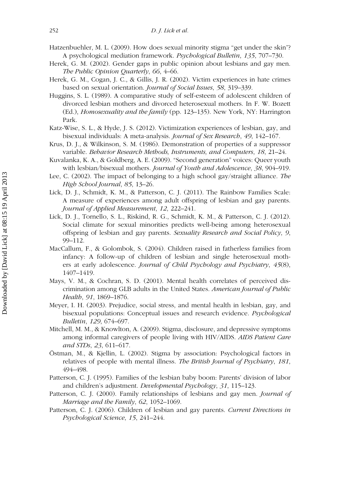- Herek, G. M. (2002). Gender gaps in public opinion about lesbians and gay men. *The Public Opinion Quarterly*, *66*, 4–66.
- Herek, G. M., Cogan, J. C., & Gillis, J. R. (2002). Victim experiences in hate crimes based on sexual orientation. *Journal of Social Issues*, *58*, 319–339.
- Huggins, S. L. (1989). A comparative study of self-esteem of adolescent children of divorced lesbian mothers and divorced heterosexual mothers. In F. W. Bozett (Ed.), *Homosexuality and the family* (pp. 123–135). New York, NY: Harrington Park.
- Katz-Wise, S. L., & Hyde, J. S. (2012). Victimization experiences of lesbian, gay, and bisexual individuals: A meta-analysis. *Journal of Sex Research*, *49*, 142–167.
- Krus, D. J., & Wilkinson, S. M. (1986). Demonstration of properties of a suppressor variable. *Behavior Research Methods, Instruments, and Computers*, *18*, 21–24.
- Kuvalanka, K. A., & Goldberg, A. E. (2009). "Second generation" voices: Queer youth with lesbian/bisexual mothers. *Journal of Youth and Adolescence*, *38*, 904–919.
- Lee, C. (2002). The impact of belonging to a high school gay/straight alliance. *The High School Journal*, *85*, 13–26.
- Lick, D. J., Schmidt, K. M., & Patterson, C. J. (2011). The Rainbow Families Scale: A measure of experiences among adult offspring of lesbian and gay parents. *Journal of Applied Measurement*, *12*, 222–241.
- Lick, D. J., Tornello, S. L., Riskind, R. G., Schmidt, K. M., & Patterson, C. J. (2012). Social climate for sexual minorities predicts well-being among heterosexual offspring of lesbian and gay parents. *Sexuality Research and Social Policy*, *9*, 99–112.
- MacCallum, F., & Golombok, S. (2004). Children raised in fatherless families from infancy: A follow-up of children of lesbian and single heterosexual mothers at early adolescence. *Journal of Child Psychology and Psychiatry*, *45*(8), 1407–1419.
- Mays, V. M., & Cochran, S. D. (2001). Mental health correlates of perceived discrimination among GLB adults in the United States. *American Journal of Public Health*, *91*, 1869–1876.
- Meyer, I. H. (2003). Prejudice, social stress, and mental health in lesbian, gay, and bisexual populations: Conceptual issues and research evidence. *Psychological Bulletin*, *129*, 674–697.
- Mitchell, M. M., & Knowlton, A. (2009). Stigma, disclosure, and depressive symptoms among informal caregivers of people living with HIV/AIDS. *AIDS Patient Care and STDs*, *23*, 611–617.
- Ostman, M., & Kjellin, L. (2002). Stigma by association: Psychological factors in relatives of people with mental illness. *The British Journal of Psychiatry*, *181*, 494–498.
- Patterson, C. J. (1995). Families of the lesbian baby boom: Parents' division of labor and children's adjustment. *Developmental Psychology*, *31*, 115–123.
- Patterson, C. J. (2000). Family relationships of lesbians and gay men. *Journal of Marriage and the Family*, *62*, 1052–1069.
- Patterson, C. J. (2006). Children of lesbian and gay parents. *Current Directions in Psychological Science*, *15*, 241–244.

Hatzenbuehler, M. L. (2009). How does sexual minority stigma "get under the skin"? A psychological mediation framework. *Psychological Bulletin*, *135*, 707–730.